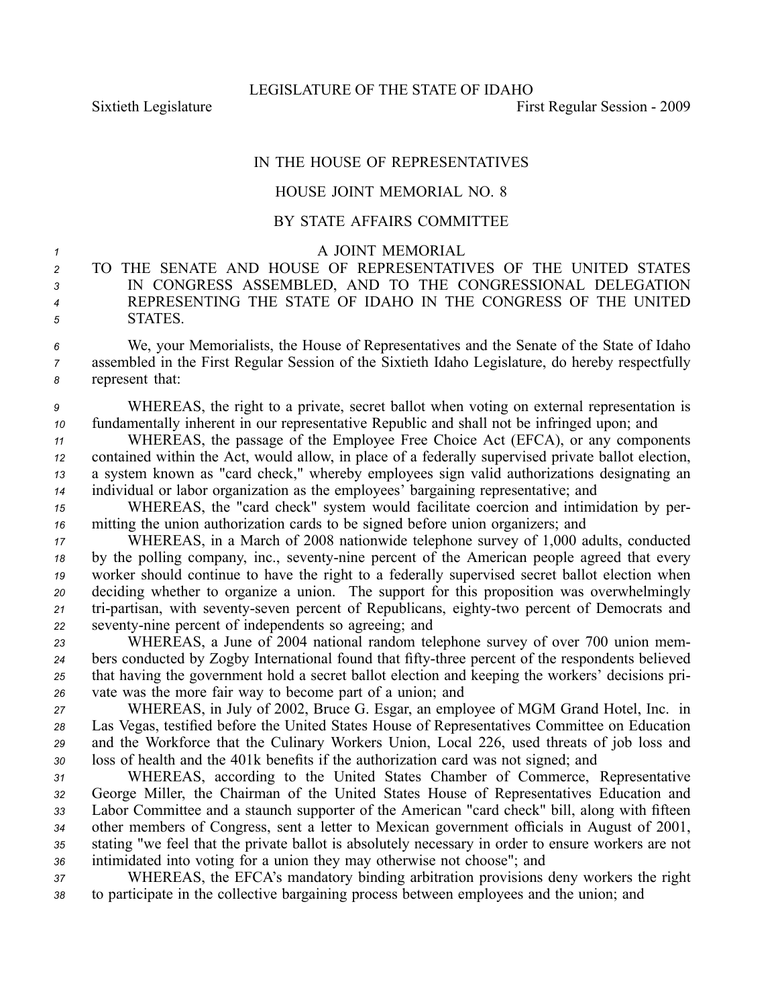## IN THE HOUSE OF REPRESENTATIVES

## HOUSE JOINT MEMORIAL NO. 8

## BY STATE AFFAIRS COMMITTEE

## <sup>1</sup> A JOINT MEMORIAL

 TO THE SENATE AND HOUSE OF REPRESENTATIVES OF THE UNITED STATES IN CONGRESS ASSEMBLED, AND TO THE CONGRESSIONAL DELEGATION REPRESENTING THE STATE OF IDAHO IN THE CONGRESS OF THE UNITED *<sup>5</sup>* STATES.

*<sup>6</sup>* We, your Memorialists, the House of Representatives and the Senate of the State of Idaho *<sup>7</sup>* assembled in the First Regular Session of the Sixtieth Idaho Legislature, do hereby respectfully *<sup>8</sup>* represen<sup>t</sup> that:

*<sup>9</sup>* WHEREAS, the right to <sup>a</sup> private, secret ballot when voting on external representation is *<sup>10</sup>* fundamentally inherent in our representative Republic and shall not be infringed upon; and

 WHEREAS, the passage of the Employee Free Choice Act (EFCA), or any components contained within the Act, would allow, in place of <sup>a</sup> federally supervised private ballot election, <sup>a</sup> system known as "card check," whereby employees sign valid authorizations designating an individual or labor organization as the employees' bargaining representative; and

*<sup>15</sup>* WHEREAS, the "card check" system would facilitate coercion and intimidation by per-*<sup>16</sup>* mitting the union authorization cards to be signed before union organizers; and

 WHEREAS, in <sup>a</sup> March of 2008 nationwide telephone survey of 1,000 adults, conducted by the polling company, inc., seventy-nine percent of the American people agreed that every worker should continue to have the right to <sup>a</sup> federally supervised secret ballot election when deciding whether to organize <sup>a</sup> union. The suppor<sup>t</sup> for this proposition was overwhelmingly 21 tri-partisan, with seventy-seven percent of Republicans, eighty-two percent of Democrats and seventy-nine percent of independents so agreeing; and

 WHEREAS, <sup>a</sup> June of 2004 national random telephone survey of over 700 union mem-24 bers conducted by Zogby International found that fifty-three percent of the respondents believed that having the governmen<sup>t</sup> hold <sup>a</sup> secret ballot election and keeping the workers' decisions pri-vate was the more fair way to become par<sup>t</sup> of <sup>a</sup> union; and

 WHEREAS, in July of 2002, Bruce G. Esgar, an employee of MGM Grand Hotel, Inc. in Las Vegas, testified before the United States House of Representatives Committee on Education and the Workforce that the Culinary Workers Union, Local 226, used threats of job loss and loss of health and the 401k benefits if the authorization card was not signed; and

 WHEREAS, according to the United States Chamber of Commerce, Representative George Miller, the Chairman of the United States House of Representatives Education and Labor Committee and <sup>a</sup> staunch supporter of the American "card check" bill, along with fifteen other members of Congress, sent <sup>a</sup> letter to Mexican governmen<sup>t</sup> officials in August of 2001, stating "we feel that the private ballot is absolutely necessary in order to ensure workers are not intimidated into voting for <sup>a</sup> union they may otherwise not choose"; and

*<sup>37</sup>* WHEREAS, the EFCA's mandatory binding arbitration provisions deny workers the right *<sup>38</sup>* to participate in the collective bargaining process between employees and the union; and